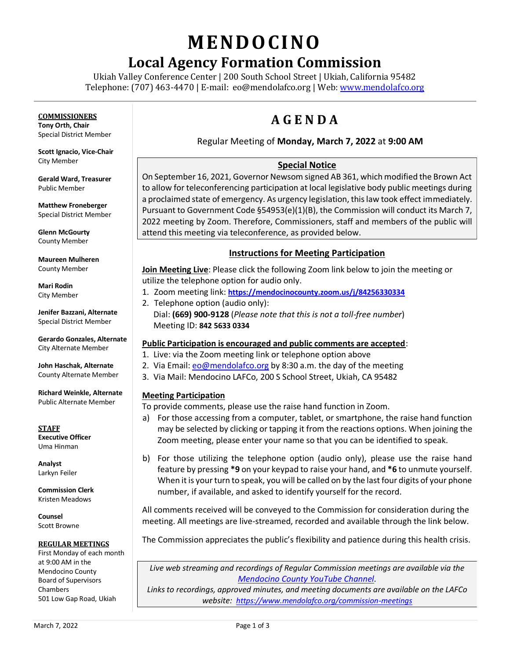# **MENDO CINO**

# **Local Agency Formation Commission**

Ukiah Valley Conference Center | 200 South School Street | Ukiah, California 95482 Telephone: (707) 463-4470 | E-mail: [eo@mendolafco.org](mailto:eo@mendolafco.org) | Web[: www.mendolafco.org](http://www.mendolafco.org/)

# **COMMISSIONERS**

**Tony Orth, Chair** Special District Member

**Scott Ignacio, Vice-Chair** City Member

**Gerald Ward, Treasurer** Public Member

**Matthew Froneberger** Special District Member

**Glenn McGourty** County Member

**Maureen Mulheren** County Member

**Mari Rodin** City Member

**Jenifer Bazzani, Alternate** Special District Member

**Gerardo Gonzales, Alternate** City Alternate Member

**John Haschak, Alternate** County Alternate Member

**Richard Weinkle, Alternate** Public Alternate Member

**STAFF Executive Officer** Uma Hinman

**Analyst** Larkyn Feiler

**Commission Clerk** Kristen Meadows

**Counsel** Scott Browne

#### **REGULAR MEETINGS**

First Monday of each month at 9:00 AM in the Mendocino County Board of Supervisors Chambers 501 Low Gap Road, Ukiah

# **A G E N D A**

# Regular Meeting of **Monday, March 7, 2022** at **9:00 AM**

# **Special Notice**

On September 16, 2021, Governor Newsom signed AB 361, which modified the Brown Act to allow for teleconferencing participation at local legislative body public meetings during a proclaimed state of emergency. As urgency legislation, this law took effect immediately. Pursuant to Government Code §54953(e)(1)(B), the Commission will conduct its March 7, 2022 meeting by Zoom. Therefore, Commissioners, staff and members of the public will attend this meeting via teleconference, as provided below.

# **Instructions for Meeting Participation**

**Join Meeting Live**: Please click the following Zoom link below to join the meeting or utilize the telephone option for audio only.

- 1. Zoom meeting link: **<https://mendocinocounty.zoom.us/j/84256330334>**
- 2. Telephone option (audio only): Dial: **(669) 900-9128** (*Please note that this is not a toll-free number*) Meeting ID: **842 5633 0334**

# **Public Participation is encouraged and public comments are accepted**:

- 1. Live: via the Zoom meeting link or telephone option above
- 2. Via Email[: eo@mendolafco.org](mailto:eo@mendolafco.org) by 8:30 a.m. the day of the meeting
- 3. Via Mail: Mendocino LAFCo, 200 S School Street, Ukiah, CA 95482

# **Meeting Participation**

To provide comments, please use the raise hand function in Zoom.

- a) For those accessing from a computer, tablet, or smartphone, the raise hand function may be selected by clicking or tapping it from the reactions options. When joining the Zoom meeting, please enter your name so that you can be identified to speak.
- b) For those utilizing the telephone option (audio only), please use the raise hand feature by pressing **\*9** on your keypad to raise your hand, and **\*6** to unmute yourself. When it is your turn to speak, you will be called on by the last four digits of your phone number, if available, and asked to identify yourself for the record.

All comments received will be conveyed to the Commission for consideration during the meeting. All meetings are live-streamed, recorded and available through the link below.

The Commission appreciates the public's flexibility and patience during this health crisis.

*Live web streaming and recordings of Regular Commission meetings are available via the [Mendocino County YouTube Channel](http://www.youtube.com/MendocinoCountyVideo).* 

*Links to recordings, approved minutes, and meeting documents are available on the LAFCo website: <https://www.mendolafco.org/commission-meetings>*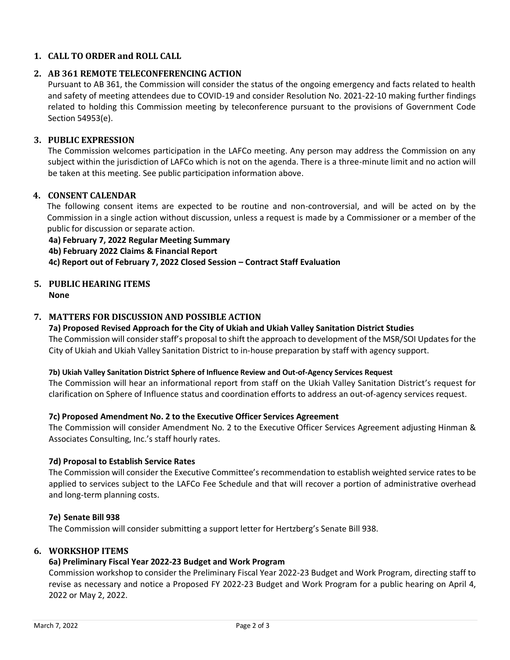# **1. CALL TO ORDER and ROLL CALL**

# **2. AB 361 REMOTE TELECONFERENCING ACTION**

Pursuant to AB 361, the Commission will consider the status of the ongoing emergency and facts related to health and safety of meeting attendees due to COVID-19 and consider Resolution No. 2021-22-10 making further findings related to holding this Commission meeting by teleconference pursuant to the provisions of Government Code Section 54953(e).

# **3. PUBLIC EXPRESSION**

The Commission welcomes participation in the LAFCo meeting. Any person may address the Commission on any subject within the jurisdiction of LAFCo which is not on the agenda. There is a three-minute limit and no action will be taken at this meeting. See public participation information above.

# **4. CONSENT CALENDAR**

The following consent items are expected to be routine and non-controversial, and will be acted on by the Commission in a single action without discussion, unless a request is made by a Commissioner or a member of the public for discussion or separate action.

#### **4a) February 7, 2022 Regular Meeting Summary**

**4b) February 2022 Claims & Financial Report**

**4c) Report out of February 7, 2022 Closed Session – Contract Staff Evaluation**

# **5. PUBLIC HEARING ITEMS**

**None**

# **7. MATTERS FOR DISCUSSION AND POSSIBLE ACTION**

# **7a) Proposed Revised Approach for the City of Ukiah and Ukiah Valley Sanitation District Studies**

The Commission will consider staff's proposal to shift the approach to development of the MSR/SOI Updates for the City of Ukiah and Ukiah Valley Sanitation District to in-house preparation by staff with agency support.

#### **7b) Ukiah Valley Sanitation District Sphere of Influence Review and Out-of-Agency Services Request**

The Commission will hear an informational report from staff on the Ukiah Valley Sanitation District's request for clarification on Sphere of Influence status and coordination efforts to address an out-of-agency services request.

# **7c) Proposed Amendment No. 2 to the Executive Officer Services Agreement**

The Commission will consider Amendment No. 2 to the Executive Officer Services Agreement adjusting Hinman & Associates Consulting, Inc.'s staff hourly rates.

#### **7d) Proposal to Establish Service Rates**

The Commission will consider the Executive Committee's recommendation to establish weighted service rates to be applied to services subject to the LAFCo Fee Schedule and that will recover a portion of administrative overhead and long-term planning costs.

#### **7e) Senate Bill 938**

The Commission will consider submitting a support letter for Hertzberg's Senate Bill 938.

# **6. WORKSHOP ITEMS**

# **6a) Preliminary Fiscal Year 2022-23 Budget and Work Program**

Commission workshop to consider the Preliminary Fiscal Year 2022-23 Budget and Work Program, directing staff to revise as necessary and notice a Proposed FY 2022-23 Budget and Work Program for a public hearing on April 4, 2022 or May 2, 2022.